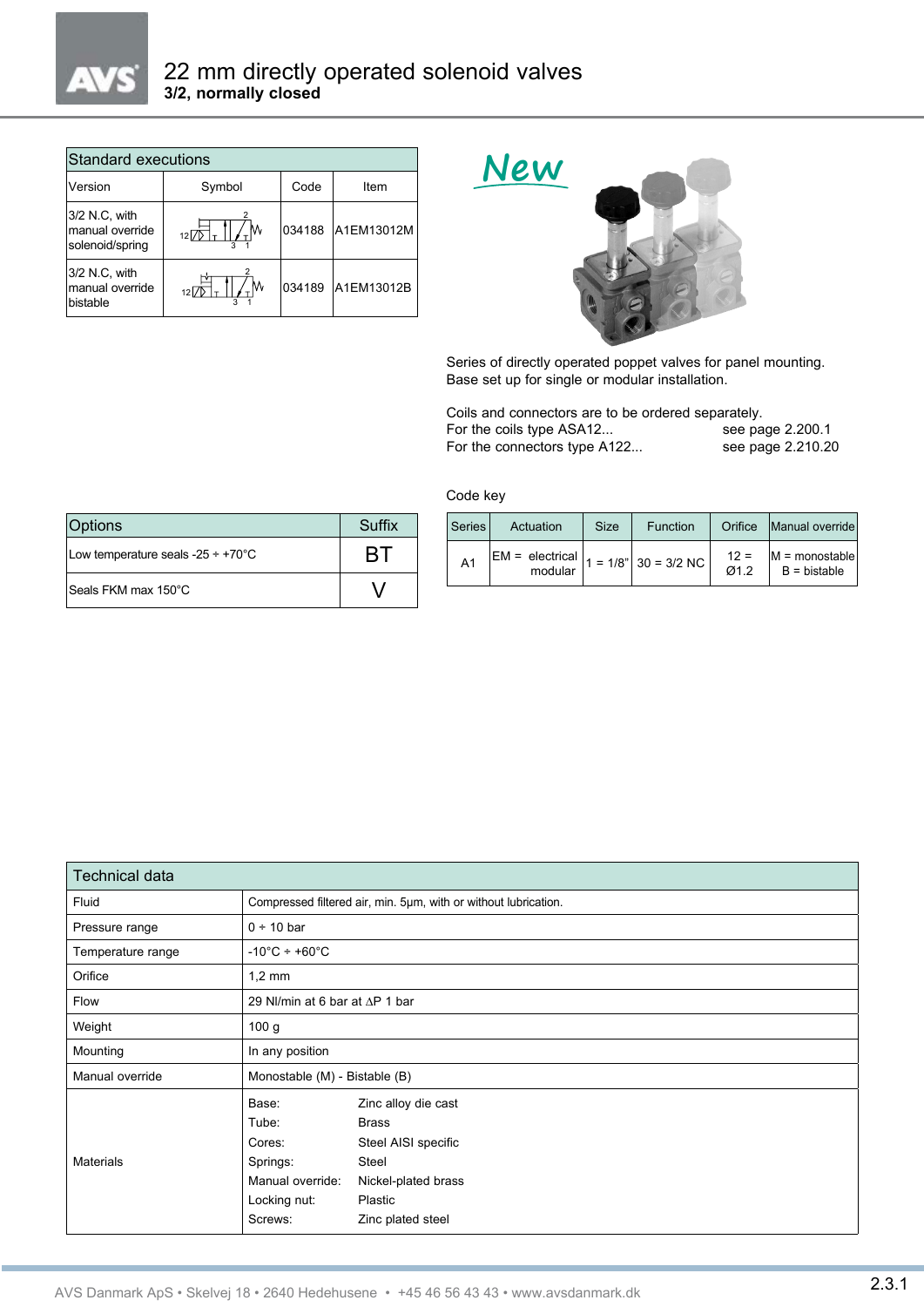

| Standard executions                                 |        |        |            |  |  |  |
|-----------------------------------------------------|--------|--------|------------|--|--|--|
| Version                                             | Symbol | Code   | Item       |  |  |  |
| 3/2 N.C, with<br>manual override<br>solenoid/spring | M      | 034188 | A1EM13012M |  |  |  |
| 3/2 N.C. with<br>manual override<br>bistable        | M      | 034189 | A1EM13012B |  |  |  |



Series of directly operated poppet valves for panel mounting. Base set up for single or modular installation.

Coils and connectors are to be ordered separately.<br>For the coils type ASA12... see page 2.200.1 For the coils type ASA12... For the connectors type A122... see page 2.210.20

Code key

| Options                                          | Suffix       |
|--------------------------------------------------|--------------|
| Low temperature seals -25 $\div$ +70 $\degree$ C | $\mathbf{R}$ |
| Seals FKM max 150°C                              |              |

| Series         | Actuation                                    | <b>Size</b> | Function | Orifice                  | Manual override                      |
|----------------|----------------------------------------------|-------------|----------|--------------------------|--------------------------------------|
| A <sub>1</sub> | $EM = electrical$ $ 1 = 1/8^n   30 = 3/2 NC$ |             |          | $12 =$<br>Q <sub>1</sub> | $ M =$ monostable<br>$B = b$ istable |

| <b>Technical data</b> |                                                                 |                                                              |  |  |
|-----------------------|-----------------------------------------------------------------|--------------------------------------------------------------|--|--|
| Fluid                 | Compressed filtered air, min. 5µm, with or without lubrication. |                                                              |  |  |
| Pressure range        | $0 ÷ 10$ bar                                                    |                                                              |  |  |
| Temperature range     | $-10^{\circ}$ C ÷ +60 $^{\circ}$ C                              |                                                              |  |  |
| Orifice               | $1,2 \text{ mm}$                                                |                                                              |  |  |
| Flow                  | 29 NI/min at 6 bar at $\Delta P$ 1 bar                          |                                                              |  |  |
| Weight                | 100 g                                                           |                                                              |  |  |
| Mounting              | In any position                                                 |                                                              |  |  |
| Manual override       | Monostable (M) - Bistable (B)                                   |                                                              |  |  |
|                       | Base:<br>Tube:<br>Cores:                                        | Zinc alloy die cast<br><b>Brass</b><br>Steel AISI specific   |  |  |
| <b>Materials</b>      | Springs:<br>Manual override:<br>Locking nut:<br>Screws:         | Steel<br>Nickel-plated brass<br>Plastic<br>Zinc plated steel |  |  |